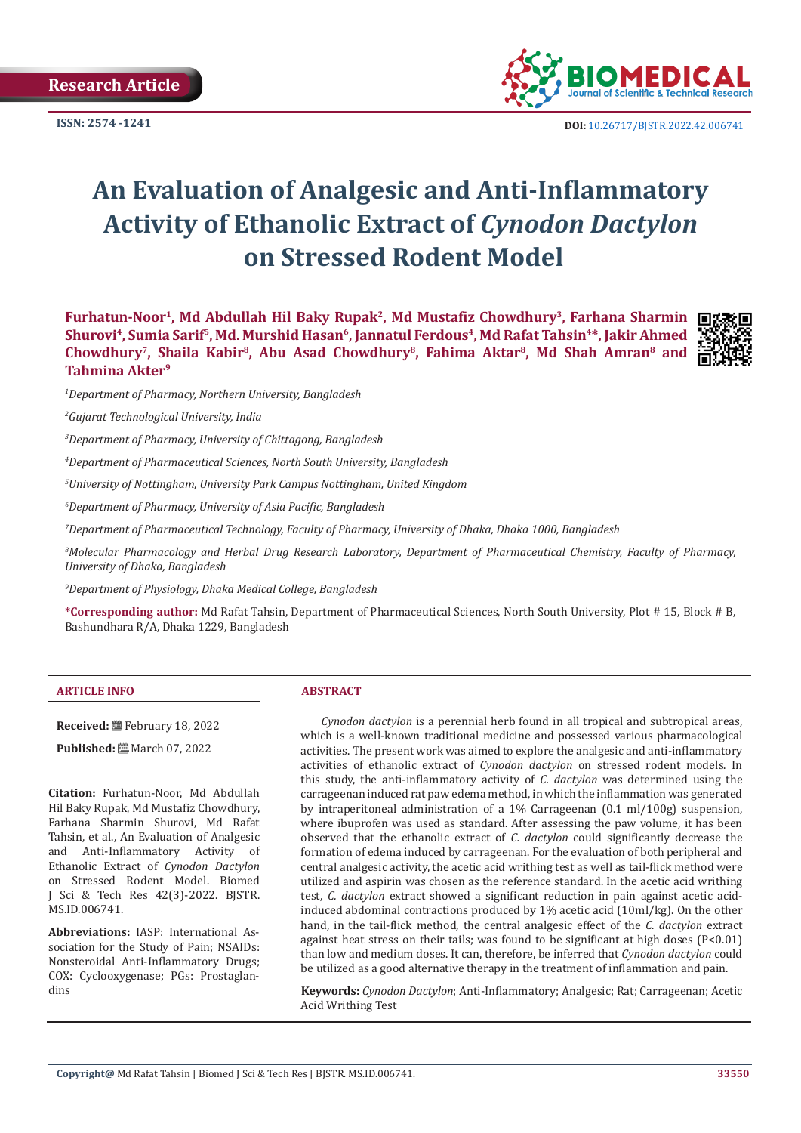**Research Article**



**ISSN:** 2574 -1241 **DOI:** [10.26717/BJSTR.2022.42.006741](https://dx.doi.org/10.26717/BJSTR.2022.42.006741)

# **An Evaluation of Analgesic and Anti-Inflammatory Activity of Ethanolic Extract of** *Cynodon Dactylon*  **on Stressed Rodent Model**

**Furhatun-Noor1, Md Abdullah Hil Baky Rupak<sup>2</sup>, Md Mustafiz Chowdhury<sup>3</sup>, Farhana Sharmin Shurovi4, Sumia Sarif5, Md. Murshid Hasan6, Jannatul Ferdous4, Md Rafat Tahsin4\*, Jakir Ahmed Chowdhury7, Shaila Kabir8, Abu Asad Chowdhury<sup>8</sup>, Fahima Aktar<sup>8</sup>, Md Shah Amran8 and Tahmina Akter<sup>9</sup>**



*1 Department of Pharmacy, Northern University, Bangladesh*

*2 Gujarat Technological University, India*

*3 Department of Pharmacy, University of Chittagong, Bangladesh*

*4 Department of Pharmaceutical Sciences, North South University, Bangladesh*

*5 University of Nottingham, University Park Campus Nottingham, United Kingdom*

*6 Department of Pharmacy, University of Asia Pacific, Bangladesh*

*7 Department of Pharmaceutical Technology, Faculty of Pharmacy, University of Dhaka, Dhaka 1000, Bangladesh*

*8 Molecular Pharmacology and Herbal Drug Research Laboratory, Department of Pharmaceutical Chemistry, Faculty of Pharmacy, University of Dhaka, Bangladesh*

*9 Department of Physiology, Dhaka Medical College, Bangladesh*

**\*Corresponding author:** Md Rafat Tahsin, Department of Pharmaceutical Sciences, North South University, Plot # 15, Block # B, Bashundhara R/A, Dhaka 1229, Bangladesh

#### **ARTICLE INFO ABSTRACT**

**Received:** February 18, 2022

**Published:** March 07, 2022

**Citation:** Furhatun-Noor, Md Abdullah Hil Baky Rupak, Md Mustafiz Chowdhury, Farhana Sharmin Shurovi, Md Rafat Tahsin, et al., An Evaluation of Analgesic<br>and Anti-Inflammatory Activity of and Anti-Inflammatory Activity Ethanolic Extract of *Cynodon Dactylon* on Stressed Rodent Model. Biomed J Sci & Tech Res 42(3)-2022. BJSTR. MS.ID.006741.

**Abbreviations:** IASP: International Association for the Study of Pain; NSAIDs: Nonsteroidal Anti-Inflammatory Drugs; COX: Cyclooxygenase; PGs: Prostaglandins

*Cynodon dactylon* is a perennial herb found in all tropical and subtropical areas, which is a well-known traditional medicine and possessed various pharmacological activities. The present work was aimed to explore the analgesic and anti-inflammatory activities of ethanolic extract of *Cynodon dactylon* on stressed rodent models. In this study, the anti-inflammatory activity of *C. dactylon* was determined using the carrageenan induced rat paw edema method, in which the inflammation was generated by intraperitoneal administration of a 1% Carrageenan (0.1 ml/100g) suspension, where ibuprofen was used as standard. After assessing the paw volume, it has been observed that the ethanolic extract of *C. dactylon* could significantly decrease the formation of edema induced by carrageenan. For the evaluation of both peripheral and central analgesic activity, the acetic acid writhing test as well as tail-flick method were utilized and aspirin was chosen as the reference standard. In the acetic acid writhing test, *C. dactylon* extract showed a significant reduction in pain against acetic acidinduced abdominal contractions produced by 1% acetic acid (10ml/kg). On the other hand, in the tail-flick method, the central analgesic effect of the *C. dactylon* extract against heat stress on their tails; was found to be significant at high doses  $[P<0.01]$ than low and medium doses. It can, therefore, be inferred that *Cynodon dactylon* could be utilized as a good alternative therapy in the treatment of inflammation and pain.

**Keywords:** *Cynodon Dactylon*; Anti-Inflammatory; Analgesic; Rat; Carrageenan; Acetic Acid Writhing Test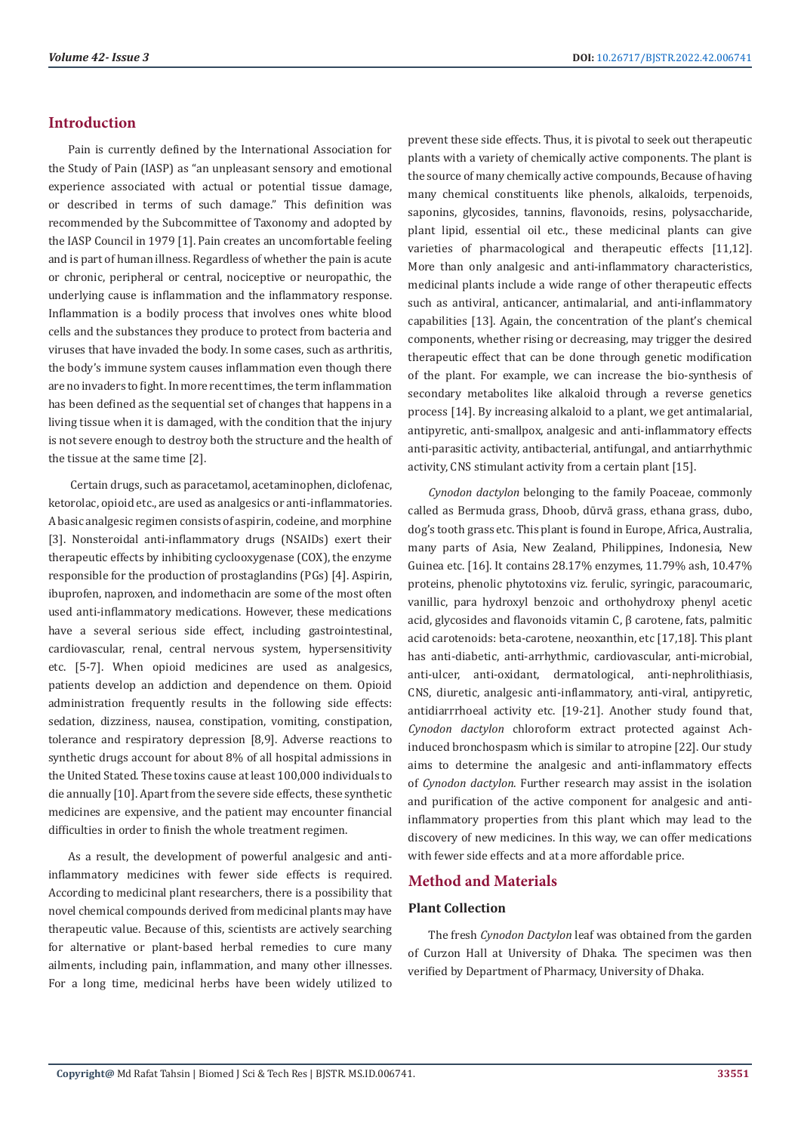# **Introduction**

Pain is currently defined by the International Association for the Study of Pain (IASP) as "an unpleasant sensory and emotional experience associated with actual or potential tissue damage, or described in terms of such damage." This definition was recommended by the Subcommittee of Taxonomy and adopted by the IASP Council in 1979 [1]. Pain creates an uncomfortable feeling and is part of human illness. Regardless of whether the pain is acute or chronic, peripheral or central, nociceptive or neuropathic, the underlying cause is inflammation and the inflammatory response. Inflammation is a bodily process that involves ones white blood cells and the substances they produce to protect from bacteria and viruses that have invaded the body. In some cases, such as arthritis, the body's immune system causes inflammation even though there are no invaders to fight. In more recent times, the term inflammation has been defined as the sequential set of changes that happens in a living tissue when it is damaged, with the condition that the injury is not severe enough to destroy both the structure and the health of the tissue at the same time [2].

 Certain drugs, such as paracetamol, acetaminophen, diclofenac, ketorolac, opioid etc., are used as analgesics or anti-inflammatories. A basic analgesic regimen consists of aspirin, codeine, and morphine [3]. Nonsteroidal anti-inflammatory drugs (NSAIDs) exert their therapeutic effects by inhibiting cyclooxygenase (COX), the enzyme responsible for the production of prostaglandins (PGs) [4]. Aspirin, ibuprofen, naproxen, and indomethacin are some of the most often used anti-inflammatory medications. However, these medications have a several serious side effect, including gastrointestinal, cardiovascular, renal, central nervous system, hypersensitivity etc. [5-7]. When opioid medicines are used as analgesics, patients develop an addiction and dependence on them. Opioid administration frequently results in the following side effects: sedation, dizziness, nausea, constipation, vomiting, constipation, tolerance and respiratory depression [8,9]. Adverse reactions to synthetic drugs account for about 8% of all hospital admissions in the United Stated. These toxins cause at least 100,000 individuals to die annually [10]. Apart from the severe side effects, these synthetic medicines are expensive, and the patient may encounter financial difficulties in order to finish the whole treatment regimen.

As a result, the development of powerful analgesic and antiinflammatory medicines with fewer side effects is required. According to medicinal plant researchers, there is a possibility that novel chemical compounds derived from medicinal plants may have therapeutic value. Because of this, scientists are actively searching for alternative or plant-based herbal remedies to cure many ailments, including pain, inflammation, and many other illnesses. For a long time, medicinal herbs have been widely utilized to

prevent these side effects. Thus, it is pivotal to seek out therapeutic plants with a variety of chemically active components. The plant is the source of many chemically active compounds, Because of having many chemical constituents like phenols, alkaloids, terpenoids, saponins, glycosides, tannins, flavonoids, resins, polysaccharide, plant lipid, essential oil etc., these medicinal plants can give varieties of pharmacological and therapeutic effects [11,12]. More than only analgesic and anti-inflammatory characteristics, medicinal plants include a wide range of other therapeutic effects such as antiviral, anticancer, antimalarial, and anti-inflammatory capabilities [13]. Again, the concentration of the plant's chemical components, whether rising or decreasing, may trigger the desired therapeutic effect that can be done through genetic modification of the plant. For example, we can increase the bio-synthesis of secondary metabolites like alkaloid through a reverse genetics process [14]. By increasing alkaloid to a plant, we get antimalarial, antipyretic, anti-smallpox, analgesic and anti-inflammatory effects anti-parasitic activity, antibacterial, antifungal, and antiarrhythmic activity, CNS stimulant activity from a certain plant [15].

*Cynodon dactylon* belonging to the family Poaceae, commonly called as Bermuda grass, Dhoob, dūrvā grass, ethana grass, dubo, dog's tooth grass etc. This plant is found in Europe, Africa, Australia, many parts of Asia, New Zealand, Philippines, Indonesia, New Guinea etc. [16]. It contains 28.17% enzymes, 11.79% ash, 10.47% proteins, phenolic phytotoxins viz. ferulic, syringic, paracoumaric, vanillic, para hydroxyl benzoic and orthohydroxy phenyl acetic acid, glycosides and flavonoids vitamin C, β carotene, fats, palmitic acid carotenoids: beta-carotene, neoxanthin, etc [17,18]. This plant has anti-diabetic, anti-arrhythmic, cardiovascular, anti-microbial, anti-ulcer, anti-oxidant, dermatological, anti-nephrolithiasis, CNS, diuretic, analgesic anti-inflammatory, anti-viral, antipyretic, antidiarrrhoeal activity etc. [19-21]. Another study found that, *Cynodon dactylon* chloroform extract protected against Achinduced bronchospasm which is similar to atropine [22]. Our study aims to determine the analgesic and anti-inflammatory effects of *Cynodon dactylon*. Further research may assist in the isolation and purification of the active component for analgesic and antiinflammatory properties from this plant which may lead to the discovery of new medicines. In this way, we can offer medications with fewer side effects and at a more affordable price.

# **Method and Materials**

#### **Plant Collection**

The fresh *Cynodon Dactylon* leaf was obtained from the garden of Curzon Hall at University of Dhaka. The specimen was then verified by Department of Pharmacy, University of Dhaka.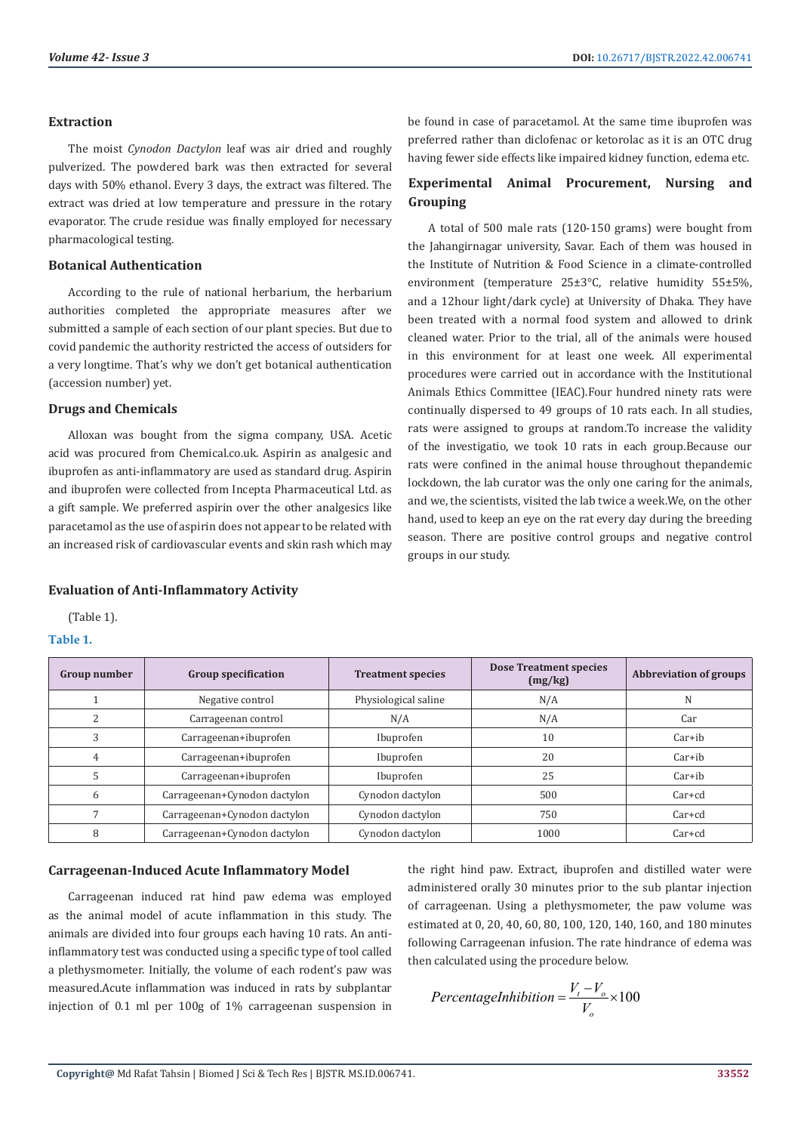#### **Extraction**

The moist *Cynodon Dactylon* leaf was air dried and roughly pulverized. The powdered bark was then extracted for several days with 50% ethanol. Every 3 days, the extract was filtered. The extract was dried at low temperature and pressure in the rotary evaporator. The crude residue was finally employed for necessary pharmacological testing.

#### **Botanical Authentication**

According to the rule of national herbarium, the herbarium authorities completed the appropriate measures after we submitted a sample of each section of our plant species. But due to covid pandemic the authority restricted the access of outsiders for a very longtime. That's why we don't get botanical authentication (accession number) yet.

#### **Drugs and Chemicals**

Alloxan was bought from the sigma company, USA. Acetic acid was procured from Chemical.co.uk. Aspirin as analgesic and ibuprofen as anti-inflammatory are used as standard drug. Aspirin and ibuprofen were collected from Incepta Pharmaceutical Ltd. as a gift sample. We preferred aspirin over the other analgesics like paracetamol as the use of aspirin does not appear to be related with an increased risk of cardiovascular events and skin rash which may

#### **Evaluation of Anti-Inflammatory Activity**

(Table 1).

#### **Table 1.**

be found in case of paracetamol. At the same time ibuprofen was preferred rather than diclofenac or ketorolac as it is an OTC drug having fewer side effects like impaired kidney function, edema etc.

# **Experimental Animal Procurement, Nursing and Grouping**

A total of 500 male rats (120-150 grams) were bought from the Jahangirnagar university, Savar. Each of them was housed in the Institute of Nutrition & Food Science in a climate-controlled environment (temperature 25±3°C, relative humidity 55±5%, and a 12hour light/dark cycle) at University of Dhaka. They have been treated with a normal food system and allowed to drink cleaned water. Prior to the trial, all of the animals were housed in this environment for at least one week. All experimental procedures were carried out in accordance with the Institutional Animals Ethics Committee (IEAC).Four hundred ninety rats were continually dispersed to 49 groups of 10 rats each. In all studies, rats were assigned to groups at random.To increase the validity of the investigatio, we took 10 rats in each group.Because our rats were confined in the animal house throughout thepandemic lockdown, the lab curator was the only one caring for the animals, and we, the scientists, visited the lab twice a week.We, on the other hand, used to keep an eye on the rat every day during the breeding season. There are positive control groups and negative control groups in our study.

| Group number | <b>Group specification</b>   | <b>Treatment species</b> | <b>Dose Treatment species</b><br>(mg/kg) | Abbreviation of groups |
|--------------|------------------------------|--------------------------|------------------------------------------|------------------------|
|              | Negative control             | Physiological saline     | N/A                                      | N                      |
|              | Carrageenan control          | N/A                      | N/A                                      | Car                    |
|              | Carrageenan+ibuprofen        | Ibuprofen                | 10                                       | $Car+ib$               |
|              | Carrageenan+ibuprofen        | Ibuprofen                | 20                                       | $Car+ib$               |
|              | Carrageenan+ibuprofen        | Ibuprofen                | 25                                       | $Car+ih$               |
| h            | Carrageenan+Cynodon dactylon | Cynodon dactylon         | 500                                      | $Car + cd$             |
|              | Carrageenan+Cynodon dactylon | Cynodon dactylon         | 750                                      | $Car + cd$             |
|              | Carrageenan+Cynodon dactylon | Cynodon dactylon         | 1000                                     | $Car + cd$             |

#### **Carrageenan-Induced Acute Inflammatory Model**

Carrageenan induced rat hind paw edema was employed as the animal model of acute inflammation in this study. The animals are divided into four groups each having 10 rats. An antiinflammatory test was conducted using a specific type of tool called a plethysmometer. Initially, the volume of each rodent's paw was measured.Acute inflammation was induced in rats by subplantar injection of 0.1 ml per 100g of 1% carrageenan suspension in

the right hind paw. Extract, ibuprofen and distilled water were administered orally 30 minutes prior to the sub plantar injection of carrageenan. Using a plethysmometer, the paw volume was estimated at 0, 20, 40, 60, 80, 100, 120, 140, 160, and 180 minutes following Carrageenan infusion. The rate hindrance of edema was then calculated using the procedure below.

$$
PercentageInhibition = \frac{V_t - V_o}{V_o} \times 100
$$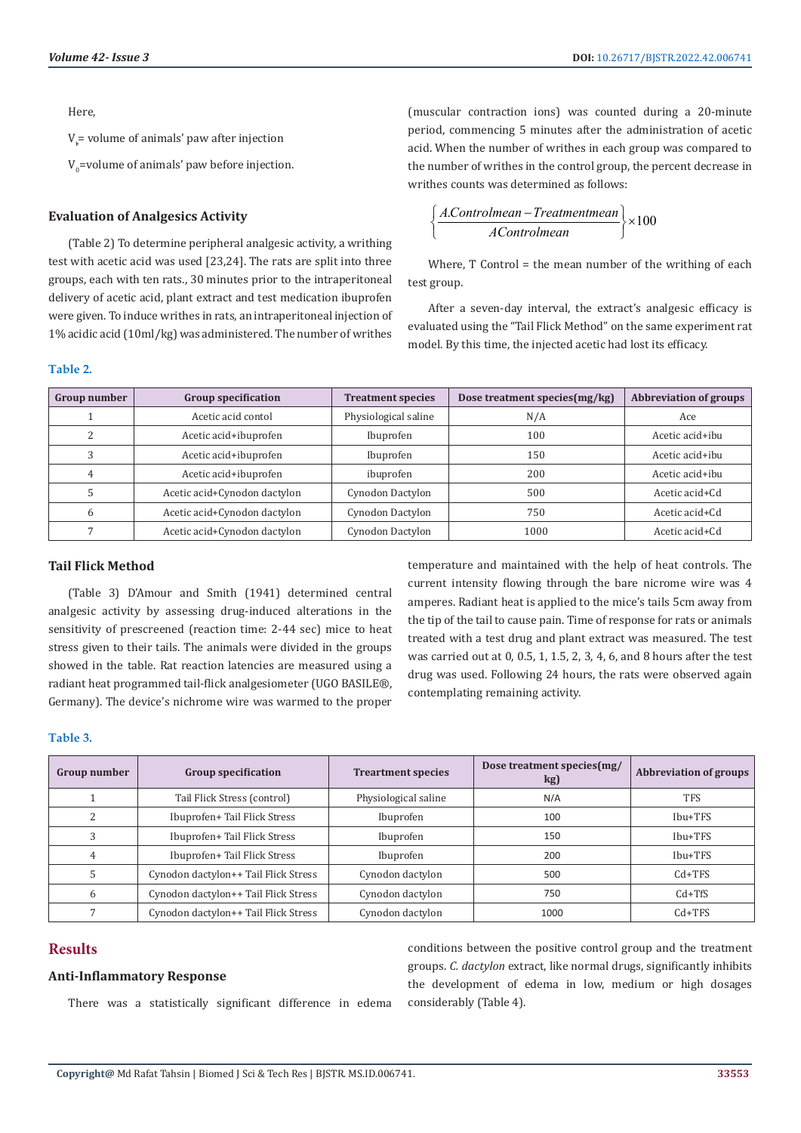Here,

 $V_t$ = volume of animals' paw after injection

 $V_0$ =volume of animals' paw before injection.

#### **Evaluation of Analgesics Activity**

(Table 2) To determine peripheral analgesic activity, a writhing test with acetic acid was used [23,24]. The rats are split into three groups, each with ten rats., 30 minutes prior to the intraperitoneal delivery of acetic acid, plant extract and test medication ibuprofen were given. To induce writhes in rats, an intraperitoneal injection of 1% acidic acid (10ml/kg) was administered. The number of writhes

#### **Table 2.**

(muscular contraction ions) was counted during a 20-minute period, commencing 5 minutes after the administration of acetic acid. When the number of writhes in each group was compared to the number of writhes in the control group, the percent decrease in writhes counts was determined as follows:

$$
\left\{\frac{A.Controllermen - Treatmentmean}{AControlleran}\right\} \times 100
$$

Where, T Control = the mean number of the writhing of each test group.

After a seven-day interval, the extract's analgesic efficacy is evaluated using the "Tail Flick Method" on the same experiment rat model. By this time, the injected acetic had lost its efficacy.

| Group number | <b>Group specification</b>   | <b>Treatment species</b> | Dose treatment species (mg/kg) | <b>Abbreviation of groups</b> |
|--------------|------------------------------|--------------------------|--------------------------------|-------------------------------|
|              | Acetic acid contol           | Physiological saline     | N/A                            | Ace                           |
| 2            | Acetic acid+ibuprofen        | Ibuprofen                | 100                            | Acetic acid+ibu               |
|              | Acetic acid+ibuprofen        | Ibuprofen                | 150                            | Acetic acid+ibu               |
| 4            | Acetic acid+ibuprofen        | ibuprofen                | 200                            | Acetic acid+ibu               |
|              | Acetic acid+Cynodon dactylon | Cynodon Dactylon         | 500                            | Acetic acid+Cd                |
| 6            | Acetic acid+Cynodon dactylon | Cynodon Dactylon         | 750                            | Acetic acid+Cd                |
|              | Acetic acid+Cynodon dactylon | Cynodon Dactylon         | 1000                           | Acetic acid+Cd                |

#### **Tail Flick Method**

(Table 3) D'Amour and Smith (1941) determined central analgesic activity by assessing drug-induced alterations in the sensitivity of prescreened (reaction time: 2-44 sec) mice to heat stress given to their tails. The animals were divided in the groups showed in the table. Rat reaction latencies are measured using a radiant heat programmed tail-flick analgesiometer (UGO BASILE®, Germany). The device's nichrome wire was warmed to the proper

temperature and maintained with the help of heat controls. The current intensity flowing through the bare nicrome wire was 4 amperes. Radiant heat is applied to the mice's tails 5cm away from the tip of the tail to cause pain. Time of response for rats or animals treated with a test drug and plant extract was measured. The test was carried out at 0, 0.5, 1, 1.5, 2, 3, 4, 6, and 8 hours after the test drug was used. Following 24 hours, the rats were observed again contemplating remaining activity.

#### **Table 3.**

| Group number | <b>Group specification</b>           | <b>Treartment species</b> | Dose treatment species(mg/<br>kg) | <b>Abbreviation of groups</b> |
|--------------|--------------------------------------|---------------------------|-----------------------------------|-------------------------------|
|              | Tail Flick Stress (control)          | Physiological saline      | N/A                               | <b>TFS</b>                    |
|              | Ibuprofen+ Tail Flick Stress         | Ibuprofen                 | 100                               | Ibu+TFS                       |
| 3            | Ibuprofen+ Tail Flick Stress         | Ibuprofen<br>150          |                                   | $Ibu+TFS$                     |
| 4            | Ibuprofen+ Tail Flick Stress         | Ibuprofen                 | 200                               | Ibu+TFS                       |
|              | Cynodon dactylon++ Tail Flick Stress | Cynodon dactylon          | 500                               | $Cd+TFS$                      |
| 6            | Cynodon dactylon++ Tail Flick Stress | Cynodon dactylon          | 750                               | $Cd+TfS$                      |
|              | Cynodon dactylon++ Tail Flick Stress | Cynodon dactylon          | 1000                              | $Cd+TFS$                      |

# **Results**

#### **Anti-Inflammatory Response**

There was a statistically significant difference in edema

conditions between the positive control group and the treatment groups. *C. dactylon* extract, like normal drugs, significantly inhibits the development of edema in low, medium or high dosages considerably (Table 4).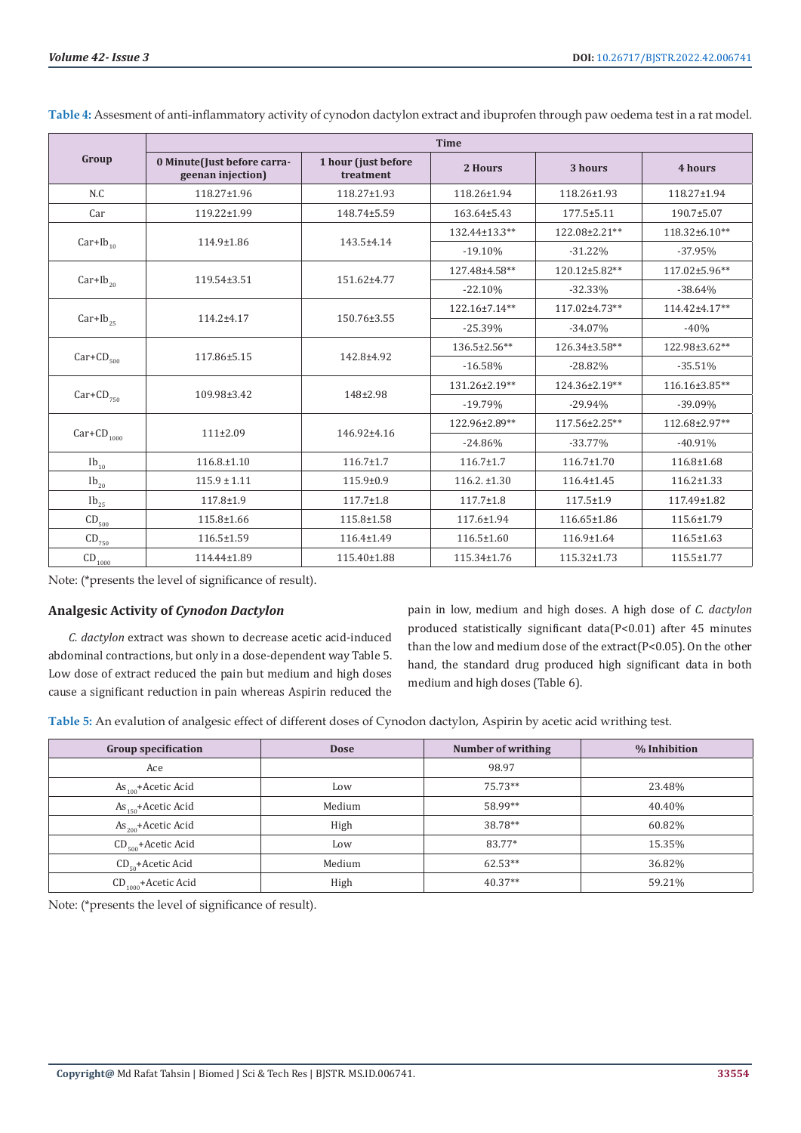|                                       | <b>Time</b>                                      |                                  |                   |                  |               |  |
|---------------------------------------|--------------------------------------------------|----------------------------------|-------------------|------------------|---------------|--|
| Group                                 | 0 Minute(Just before carra-<br>geenan injection) | 1 hour (just before<br>treatment | 2 Hours           | 3 hours          | 4 hours       |  |
| N.C                                   | 118.27±1.96                                      | 118.27±1.93                      | 118.26±1.94       | 118.26±1.93      | 118.27±1.94   |  |
| Car                                   | 119.22±1.99                                      | 148.74±5.59                      | 163.64±5.43       | 177.5±5.11       | 190.7±5.07    |  |
|                                       |                                                  |                                  | 132.44±13.3**     | 122.08±2.21**    | 118.32±6.10** |  |
| $Car+Ib_{10}$                         | 114.9±1.86                                       | 143.5±4.14                       | $-19.10%$         | $-31.22%$        | $-37.95%$     |  |
|                                       |                                                  |                                  | 127.48±4.58**     | 120.12±5.82**    | 117.02±5.96** |  |
| $Car+Ib_{20}$                         | 119.54±3.51                                      | 151.62±4.77                      | $-22.10%$         | $-32.33%$        | $-38.64%$     |  |
|                                       | 114.2±4.17                                       | 150.76±3.55                      | 122.16±7.14**     | 117.02±4.73**    | 114.42±4.17** |  |
| $Car+Ib_{25}$                         |                                                  |                                  | $-25.39%$         | $-34.07%$        | $-40%$        |  |
|                                       | 117.86±5.15                                      | 142.8±4.92                       | 136.5±2.56**      | 126.34±3.58**    | 122.98±3.62** |  |
| $Car+CD_{500}$                        |                                                  |                                  | $-16.58%$         | $-28.82%$        | $-35.51%$     |  |
|                                       | 109.98±3.42                                      | 148±2.98                         | 131.26±2.19**     | 124.36±2.19**    | 116.16±3.85** |  |
| $Car+CD_{750}$                        |                                                  |                                  | $-19.79%$         | $-29.94%$        | $-39.09\%$    |  |
| $Car+CD$ <sub>1000</sub>              | 111±2.09                                         | 146.92±4.16                      | 122.96±2.89**     | 117.56±2.25**    | 112.68±2.97** |  |
|                                       |                                                  |                                  | $-24.86%$         | $-33.77%$        | $-40.91%$     |  |
| $Ib_{10}$                             | $116.8 \pm 1.10$                                 | $116.7 \pm 1.7$                  | $116.7 \pm 1.7$   | $116.7 \pm 1.70$ | 116.8±1.68    |  |
| $Ib_{20}$                             | $115.9 \pm 1.11$                                 | 115.9±0.9                        | $116.2. \pm 1.30$ | $116.4 \pm 1.45$ | 116.2±1.33    |  |
| $Ib_{25}$                             | 117.8±1.9                                        | $117.7 \pm 1.8$                  | $117.7 \pm 1.8$   | $117.5 \pm 1.9$  | 117.49±1.82   |  |
| $\text{CD}_{\frac{500}{2}}$           | 115.8±1.66                                       | 115.8±1.58                       | 117.6±1.94        | 116.65±1.86      | 115.6±1.79    |  |
| $\text{CD}_{\underline{750}}$         | 116.5±1.59                                       | 116.4±1.49                       | 116.5±1.60        | 116.9±1.64       | 116.5±1.63    |  |
| $\text{CD}_{\underline{\text{1000}}}$ | 114.44±1.89                                      | 115.40±1.88                      | 115.34±1.76       | 115.32±1.73      | 115.5±1.77    |  |

**Table 4:** Assesment of anti-inflammatory activity of cynodon dactylon extract and ibuprofen through paw oedema test in a rat model.

Note: (\*presents the level of significance of result).

#### **Analgesic Activity of** *Cynodon Dactylon*

*C. dactylon* extract was shown to decrease acetic acid-induced abdominal contractions, but only in a dose-dependent way Table 5. Low dose of extract reduced the pain but medium and high doses cause a significant reduction in pain whereas Aspirin reduced the

pain in low, medium and high doses. A high dose of *C. dactylon* produced statistically significant data(P<0.01) after 45 minutes than the low and medium dose of the extract(P<0.05). On the other hand, the standard drug produced high significant data in both medium and high doses (Table 6).

**Table 5:** An evalution of analgesic effect of different doses of Cynodon dactylon, Aspirin by acetic acid writhing test.

| <b>Group specification</b>        | <b>Dose</b> | Number of writhing | % Inhibition |
|-----------------------------------|-------------|--------------------|--------------|
| Ace                               |             | 98.97              |              |
| $As_{100} + Acetic Acid$          | Low         | 75.73**            | 23.48%       |
| $As_{150}$ +Acetic Acid           | Medium      | 58.99**            | 40.40%       |
| $\text{As}_{200}$ +Acetic Acid    | High        | 38.78**            | 60.82%       |
| $CD_{\epsilon_{00}}$ +Acetic Acid | Low         | 83.77*             | 15.35%       |
| $CD_{\epsilon_0}$ +Acetic Acid    | Medium      | $62.53**$          | 36.82%       |
| $CD_{1000}$ +Acetic Acid          | High        | $40.37**$          | 59.21%       |

Note: (\*presents the level of significance of result).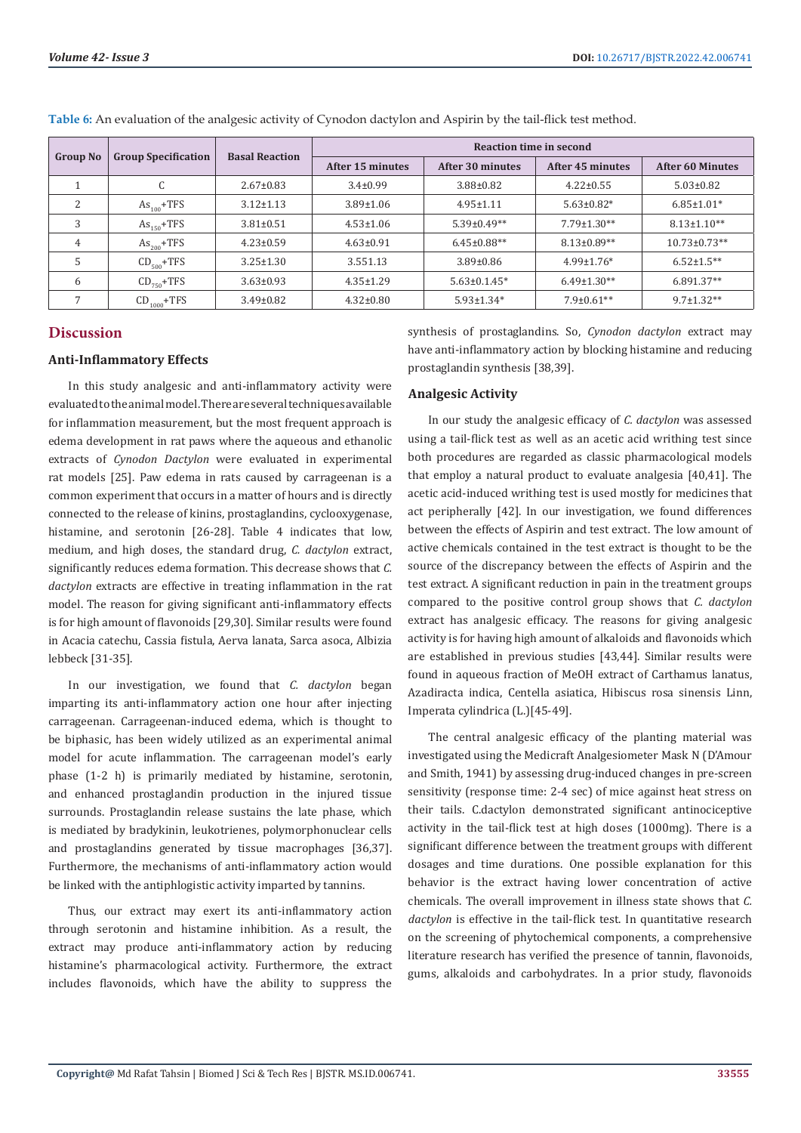| <b>Group No</b> | <b>Group Specification</b> | <b>Basal Reaction</b> | <b>Reaction time in second</b> |                    |                   |                         |
|-----------------|----------------------------|-----------------------|--------------------------------|--------------------|-------------------|-------------------------|
|                 |                            |                       | After 15 minutes               | After 30 minutes   | After 45 minutes  | <b>After 60 Minutes</b> |
|                 | ι.                         | $2.67 \pm 0.83$       | $3.4 \pm 0.99$                 | 3.88±0.82          | $4.22 \pm 0.55$   | $5.03 \pm 0.82$         |
| C.              | $As100+TFS$                | $3.12 \pm 1.13$       | $3.89 \pm 1.06$                | $4.95 \pm 1.11$    | $5.63 \pm 0.82*$  | $6.85 \pm 1.01*$        |
| 3               | $As_{150}$ +TFS            | $3.81 \pm 0.51$       | $4.53 \pm 1.06$                | $5.39 \pm 0.49**$  | $7.79 \pm 1.30**$ | $8.13 \pm 1.10**$       |
| 4               | $As_{200}$ +TFS            | $4.23 \pm 0.59$       | $4.63 \pm 0.91$                | $6.45 \pm 0.88$ ** | $8.13 \pm 0.89**$ | $10.73 \pm 0.73$ **     |
| h               | $CD_{500}$ +TFS            | $3.25 \pm 1.30$       | 3.551.13                       | $3.89 \pm 0.86$    | $4.99 \pm 1.76*$  | $6.52 \pm 1.5$ **       |
| 6               | $CD_{750}$ +TFS            | $3.63 \pm 0.93$       | $4.35 \pm 1.29$                | $5.63 \pm 0.1.45*$ | $6.49 \pm 1.30**$ | $6.891.37**$            |
|                 | $CD_{1000}$ +TFS           | $3.49 \pm 0.82$       | $4.32 \pm 0.80$                | $5.93 \pm 1.34*$   | $7.9 \pm 0.61$ ** | $9.7 \pm 1.32**$        |

**Table 6:** An evaluation of the analgesic activity of Cynodon dactylon and Aspirin by the tail-flick test method.

### **Discussion**

## **Anti-Inflammatory Effects**

In this study analgesic and anti-inflammatory activity were evaluated to the animal model. There are several techniques available for inflammation measurement, but the most frequent approach is edema development in rat paws where the aqueous and ethanolic extracts of *Cynodon Dactylon* were evaluated in experimental rat models [25]. Paw edema in rats caused by carrageenan is a common experiment that occurs in a matter of hours and is directly connected to the release of kinins, prostaglandins, cyclooxygenase, histamine, and serotonin [26-28]. Table 4 indicates that low, medium, and high doses, the standard drug, *C. dactylon* extract, significantly reduces edema formation. This decrease shows that *C. dactylon* extracts are effective in treating inflammation in the rat model. The reason for giving significant anti-inflammatory effects is for high amount of flavonoids [29,30]. Similar results were found in Acacia catechu, Cassia fistula, Aerva lanata, Sarca asoca, Albizia lebbeck [31-35].

In our investigation, we found that *C. dactylon* began imparting its anti-inflammatory action one hour after injecting carrageenan. Carrageenan-induced edema, which is thought to be biphasic, has been widely utilized as an experimental animal model for acute inflammation. The carrageenan model's early phase (1-2 h) is primarily mediated by histamine, serotonin, and enhanced prostaglandin production in the injured tissue surrounds. Prostaglandin release sustains the late phase, which is mediated by bradykinin, leukotrienes, polymorphonuclear cells and prostaglandins generated by tissue macrophages [36,37]. Furthermore, the mechanisms of anti-inflammatory action would be linked with the antiphlogistic activity imparted by tannins.

Thus, our extract may exert its anti-inflammatory action through serotonin and histamine inhibition. As a result, the extract may produce anti-inflammatory action by reducing histamine's pharmacological activity. Furthermore, the extract includes flavonoids, which have the ability to suppress the

synthesis of prostaglandins. So, *Cynodon dactylon* extract may have anti-inflammatory action by blocking histamine and reducing prostaglandin synthesis [38,39].

#### **Analgesic Activity**

In our study the analgesic efficacy of *C. dactylon* was assessed using a tail-flick test as well as an acetic acid writhing test since both procedures are regarded as classic pharmacological models that employ a natural product to evaluate analgesia [40,41]. The acetic acid-induced writhing test is used mostly for medicines that act peripherally [42]. In our investigation, we found differences between the effects of Aspirin and test extract. The low amount of active chemicals contained in the test extract is thought to be the source of the discrepancy between the effects of Aspirin and the test extract. A significant reduction in pain in the treatment groups compared to the positive control group shows that *C. dactylon* extract has analgesic efficacy. The reasons for giving analgesic activity is for having high amount of alkaloids and flavonoids which are established in previous studies [43,44]. Similar results were found in aqueous fraction of MeOH extract of Carthamus lanatus, Azadiracta indica, Centella asiatica, Hibiscus rosa sinensis Linn, Imperata cylindrica (L.)[45-49].

The central analgesic efficacy of the planting material was investigated using the Medicraft Analgesiometer Mask N (D'Amour and Smith, 1941) by assessing drug-induced changes in pre-screen sensitivity (response time: 2-4 sec) of mice against heat stress on their tails. C.dactylon demonstrated significant antinociceptive activity in the tail-flick test at high doses (1000mg). There is a significant difference between the treatment groups with different dosages and time durations. One possible explanation for this behavior is the extract having lower concentration of active chemicals. The overall improvement in illness state shows that *C. dactylon* is effective in the tail-flick test. In quantitative research on the screening of phytochemical components, a comprehensive literature research has verified the presence of tannin, flavonoids, gums, alkaloids and carbohydrates. In a prior study, flavonoids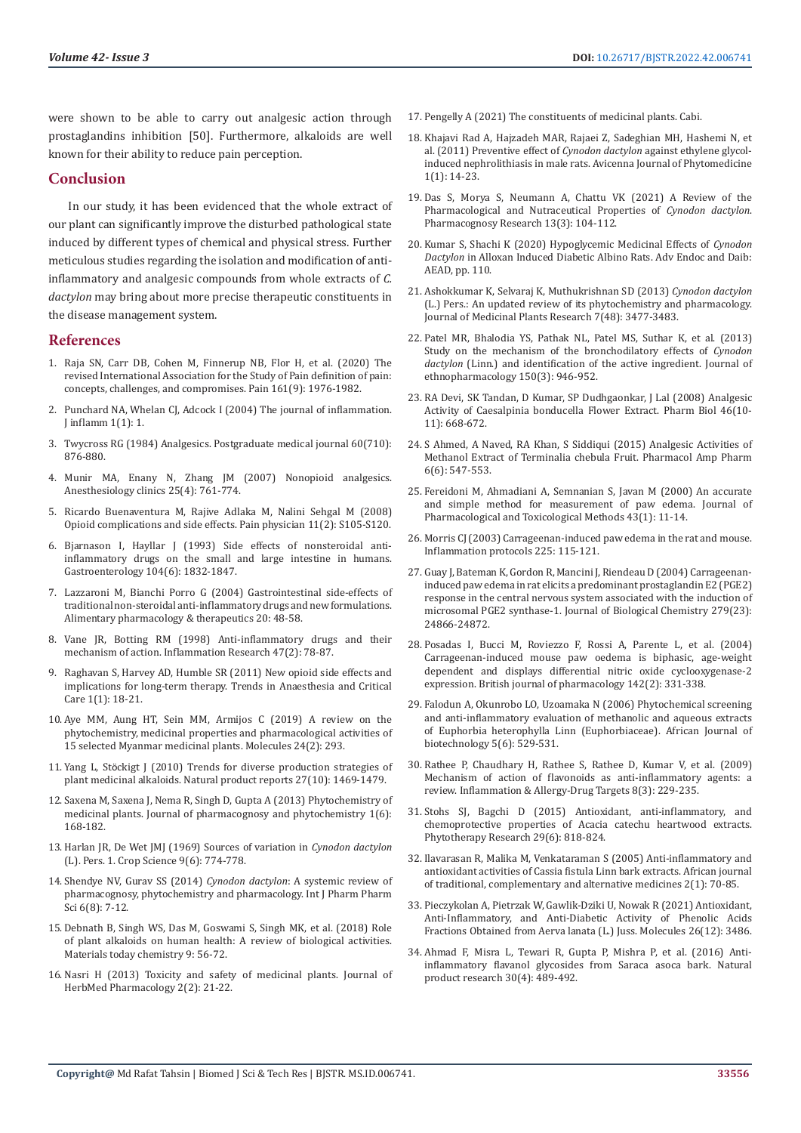were shown to be able to carry out analgesic action through prostaglandins inhibition [50]. Furthermore, alkaloids are well known for their ability to reduce pain perception.

### **Conclusion**

In our study, it has been evidenced that the whole extract of our plant can significantly improve the disturbed pathological state induced by different types of chemical and physical stress. Further meticulous studies regarding the isolation and modification of antiinflammatory and analgesic compounds from whole extracts of *C. dactylon* may bring about more precise therapeutic constituents in the disease management system.

#### **References**

- 1. [Raja SN, Carr DB, Cohen M, Finnerup NB, Flor H, et al. \(2020\) The](https://pubmed.ncbi.nlm.nih.gov/32694387/)  [revised International Association for the Study of Pain definition of pain:](https://pubmed.ncbi.nlm.nih.gov/32694387/)  [concepts, challenges, and compromises. Pain 161\(9\): 1976-1982.](https://pubmed.ncbi.nlm.nih.gov/32694387/)
- 2. Punchard NA, Whelan CJ, Adcock I (2004) The journal of inflammation. [J inflamm 1\(1\): 1.](https://pubmed.ncbi.nlm.nih.gov/15813979/)
- 3. [Twycross RG \(1984\) Analgesics. Postgraduate medical journal 60\(710\):](https://www.ncbi.nlm.nih.gov/pmc/articles/PMC2418085/)  [876-880.](https://www.ncbi.nlm.nih.gov/pmc/articles/PMC2418085/)
- 4. [Munir MA, Enany N, Zhang JM \(2007\) Nonopioid analgesics.](https://pubmed.ncbi.nlm.nih.gov/18054143/)  [Anesthesiology clinics 25\(4\): 761-774.](https://pubmed.ncbi.nlm.nih.gov/18054143/)
- 5. [Ricardo Buenaventura M, Rajive Adlaka M, Nalini Sehgal M \(2008\)](https://pubmed.ncbi.nlm.nih.gov/18443635/)  [Opioid complications and side effects. Pain physician 11\(2\): S105-S120.](https://pubmed.ncbi.nlm.nih.gov/18443635/)
- 6. [Bjarnason I, Hayllar J \(1993\) Side effects of nonsteroidal anti](https://pubmed.ncbi.nlm.nih.gov/8500743/)[inflammatory drugs on the small and large intestine in humans.](https://pubmed.ncbi.nlm.nih.gov/8500743/)  [Gastroenterology 104\(6\): 1832-1847.](https://pubmed.ncbi.nlm.nih.gov/8500743/)
- 7. [Lazzaroni M, Bianchi Porro G \(2004\) Gastrointestinal side‐effects of](https://pubmed.ncbi.nlm.nih.gov/15335413/)  [traditional non‐steroidal anti‐inflammatory drugs and new formulations.](https://pubmed.ncbi.nlm.nih.gov/15335413/)  [Alimentary pharmacology & therapeutics 20: 48-58.](https://pubmed.ncbi.nlm.nih.gov/15335413/)
- 8. [Vane JR, Botting RM \(1998\) Anti-inflammatory drugs and their](https://pubmed.ncbi.nlm.nih.gov/9831328/)  [mechanism of action. Inflammation Research 47\(2\): 78-87.](https://pubmed.ncbi.nlm.nih.gov/9831328/)
- 9. [Raghavan S, Harvey AD, Humble SR \(2011\) New opioid side effects and](https://www.sciencedirect.com/science/article/abs/pii/S0953711210001055)  [implications for long-term therapy. Trends in Anaesthesia and Critical](https://www.sciencedirect.com/science/article/abs/pii/S0953711210001055)  [Care 1\(1\): 18-21.](https://www.sciencedirect.com/science/article/abs/pii/S0953711210001055)
- 10. [Aye MM, Aung HT, Sein MM, Armijos C \(2019\) A review on the](https://pubmed.ncbi.nlm.nih.gov/30650546/)  [phytochemistry, medicinal properties and pharmacological activities of](https://pubmed.ncbi.nlm.nih.gov/30650546/)  [15 selected Myanmar medicinal plants. Molecules 24\(2\): 293.](https://pubmed.ncbi.nlm.nih.gov/30650546/)
- 11. Yang L, Stö[ckigt J \(2010\) Trends for diverse production strategies of](https://pubmed.ncbi.nlm.nih.gov/20730220/)  [plant medicinal alkaloids. Natural product reports 27\(10\): 1469-1479.](https://pubmed.ncbi.nlm.nih.gov/20730220/)
- 12. [Saxena M, Saxena J, Nema R, Singh D, Gupta A \(2013\) Phytochemistry of](https://www.researchgate.net/publication/284425734_Phytochemistry_of_Medicinal_Plants)  [medicinal plants. Journal of pharmacognosy and phytochemistry 1\(6\):](https://www.researchgate.net/publication/284425734_Phytochemistry_of_Medicinal_Plants)  [168-182.](https://www.researchgate.net/publication/284425734_Phytochemistry_of_Medicinal_Plants)
- 13. [Harlan JR, De Wet JMJ \(1969\) Sources of variation in](https://acsess.onlinelibrary.wiley.com/doi/abs/10.2135/cropsci1969.0011183X000900060031x) *Cynodon dactylon* [\(L\). Pers. 1. Crop Science 9\(6\): 774-778.](https://acsess.onlinelibrary.wiley.com/doi/abs/10.2135/cropsci1969.0011183X000900060031x)
- 14. [Shendye NV, Gurav SS \(2014\)](https://www.researchgate.net/publication/287875830_Cynodon_dactylon_A_systemic_review_of_pharmacognosy_phytochemistry_and_pharmacology) *Cynodon dactylon*: A systemic review of [pharmacognosy, phytochemistry and pharmacology. Int J Pharm Pharm](https://www.researchgate.net/publication/287875830_Cynodon_dactylon_A_systemic_review_of_pharmacognosy_phytochemistry_and_pharmacology)  [Sci 6\(8\): 7-12.](https://www.researchgate.net/publication/287875830_Cynodon_dactylon_A_systemic_review_of_pharmacognosy_phytochemistry_and_pharmacology)
- 15. [Debnath B, Singh WS, Das M, Goswami S, Singh MK, et al. \(2018\) Role](https://www.researchgate.net/publication/325568731_Role_of_plant_alkaloids_on_human_health_A_review_of_biological_activities)  [of plant alkaloids on human health: A review of biological activities.](https://www.researchgate.net/publication/325568731_Role_of_plant_alkaloids_on_human_health_A_review_of_biological_activities)  [Materials today chemistry 9: 56-72.](https://www.researchgate.net/publication/325568731_Role_of_plant_alkaloids_on_human_health_A_review_of_biological_activities)
- 16. [Nasri H \(2013\) Toxicity and safety of medicinal plants. Journal of](https://www.researchgate.net/publication/285306673_Toxicity_and_safety_of_medicinal_plants)  [HerbMed Pharmacology 2\(2\): 21-22.](https://www.researchgate.net/publication/285306673_Toxicity_and_safety_of_medicinal_plants)
- 17. [Pengelly A \(2021\) The constituents of medicinal plants. Cabi.](https://www.cabi.org/bookshop/book/9781789243079/)
- 18. [Khajavi Rad A, Hajzadeh MAR, Rajaei Z, Sadeghian MH, Hashemi N, et](https://www.researchgate.net/publication/324522022_Preventive_effect_of_Cynodon_dactylon_against_ethylene_glycol-induced_nephrolithiasis_in_male_rats) [al. \(2011\) Preventive effect of](https://www.researchgate.net/publication/324522022_Preventive_effect_of_Cynodon_dactylon_against_ethylene_glycol-induced_nephrolithiasis_in_male_rats) *Cynodon dactylon* against ethylene glycol[induced nephrolithiasis in male rats. Avicenna Journal of Phytomedicine](https://www.researchgate.net/publication/324522022_Preventive_effect_of_Cynodon_dactylon_against_ethylene_glycol-induced_nephrolithiasis_in_male_rats) [1\(1\): 14-23.](https://www.researchgate.net/publication/324522022_Preventive_effect_of_Cynodon_dactylon_against_ethylene_glycol-induced_nephrolithiasis_in_male_rats)
- 19. [Das S, Morya S, Neumann A, Chattu VK \(2021\) A Review of the](https://www.phcogres.com/article/2021/13/3/105530pres1331) [Pharmacological and Nutraceutical Properties of](https://www.phcogres.com/article/2021/13/3/105530pres1331) *Cynodon dactylon*. [Pharmacognosy Research 13\(3\): 104-112.](https://www.phcogres.com/article/2021/13/3/105530pres1331)
- 20. [Kumar S, Shachi K \(2020\) Hypoglycemic Medicinal Effects of](https://kosmospublishers.com/hypoglycemic-medicinal-effects-of-cynodon-dactylon-in-alloxan-induced-diabetic-albino-albino-rats/) *Cynodon Dactylon* [in Alloxan Induced Diabetic Albino Rats. Adv Endoc and Daib:](https://kosmospublishers.com/hypoglycemic-medicinal-effects-of-cynodon-dactylon-in-alloxan-induced-diabetic-albino-albino-rats/) [AEAD, pp. 110.](https://kosmospublishers.com/hypoglycemic-medicinal-effects-of-cynodon-dactylon-in-alloxan-induced-diabetic-albino-albino-rats/)
- 21. [Ashokkumar K, Selvaraj K, Muthukrishnan SD \(2013\)](https://www.researchgate.net/publication/259367627_Review_Cynodon_dactylon_LPers_An_updated_review_of_its_phytochemistry_and_pharmacology) *Cynodon dactylon* [\(L.\) Pers.: An updated review of its phytochemistry and pharmacology.](https://www.researchgate.net/publication/259367627_Review_Cynodon_dactylon_LPers_An_updated_review_of_its_phytochemistry_and_pharmacology) [Journal of Medicinal Plants Research 7\(48\): 3477-3483.](https://www.researchgate.net/publication/259367627_Review_Cynodon_dactylon_LPers_An_updated_review_of_its_phytochemistry_and_pharmacology)
- 22. [Patel MR, Bhalodia YS, Pathak NL, Patel MS, Suthar K, et al. \(2013\)](https://pubmed.ncbi.nlm.nih.gov/24432367/) [Study on the mechanism of the bronchodilatory effects of](https://pubmed.ncbi.nlm.nih.gov/24432367/) *Cynodon dactylon* [\(Linn.\) and identification of the active ingredient. Journal of](https://pubmed.ncbi.nlm.nih.gov/24432367/) [ethnopharmacology 150\(3\): 946-952.](https://pubmed.ncbi.nlm.nih.gov/24432367/)
- 23. [RA Devi, SK Tandan, D Kumar, SP Dudhgaonkar, J Lal \(2008\) Analgesic](https://www.tandfonline.com/doi/full/10.1080/13880200802215776) [Activity of Caesalpinia bonducella Flower Extract. Pharm Biol 46\(10-](https://www.tandfonline.com/doi/full/10.1080/13880200802215776) [11\): 668-672.](https://www.tandfonline.com/doi/full/10.1080/13880200802215776)
- 24. [S Ahmed, A Naved, RA Khan, S Siddiqui \(2015\) Analgesic Activities of](https://www.researchgate.net/publication/285591859_Analgesic_Activities_of_Methanol_Extract_of_Terminalia_chebula_Fruit) [Methanol Extract of Terminalia chebula Fruit. Pharmacol Amp Pharm](https://www.researchgate.net/publication/285591859_Analgesic_Activities_of_Methanol_Extract_of_Terminalia_chebula_Fruit) [6\(6\): 547-553.](https://www.researchgate.net/publication/285591859_Analgesic_Activities_of_Methanol_Extract_of_Terminalia_chebula_Fruit)
- 25. [Fereidoni M, Ahmadiani A, Semnanian S, Javan M \(2000\) An accurate](https://pubmed.ncbi.nlm.nih.gov/11091125/) [and simple method for measurement of paw edema. Journal of](https://pubmed.ncbi.nlm.nih.gov/11091125/) [Pharmacological and Toxicological Methods 43\(1\): 11-14.](https://pubmed.ncbi.nlm.nih.gov/11091125/)
- 26. [Morris CJ \(2003\) Carrageenan-induced paw edema in the rat and mouse.](https://pubmed.ncbi.nlm.nih.gov/12769480/) [Inflammation protocols 225: 115-121.](https://pubmed.ncbi.nlm.nih.gov/12769480/)
- 27. [Guay J, Bateman K, Gordon R, Mancini J, Riendeau D \(2004\) Carrageenan](https://pubmed.ncbi.nlm.nih.gov/15044444/)[induced paw edema in rat elicits a predominant prostaglandin E2 \(PGE2\)](https://pubmed.ncbi.nlm.nih.gov/15044444/) [response in the central nervous system associated with the induction of](https://pubmed.ncbi.nlm.nih.gov/15044444/) [microsomal PGE2 synthase-1. Journal of Biological Chemistry 279\(23\):](https://pubmed.ncbi.nlm.nih.gov/15044444/) [24866-24872.](https://pubmed.ncbi.nlm.nih.gov/15044444/)
- 28. [Posadas I, Bucci M, Roviezzo F, Rossi A, Parente L, et al. \(2004\)](https://pubmed.ncbi.nlm.nih.gov/15155540/) [Carrageenan‐induced mouse paw oedema is biphasic, age‐weight](https://pubmed.ncbi.nlm.nih.gov/15155540/) [dependent and displays differential nitric oxide cyclooxygenase-2](https://pubmed.ncbi.nlm.nih.gov/15155540/) [expression. British journal of pharmacology 142\(2\): 331-338.](https://pubmed.ncbi.nlm.nih.gov/15155540/)
- 29. [Falodun A, Okunrobo LO, Uzoamaka N \(2006\) Phytochemical screening](https://www.researchgate.net/publication/277769018_Short_Communication_-_Phytochemical_screening_and_anti-inflammatory_evaluation_of_methanolic_and_aqueous_extracts_of_Euphorbia_heterophylla_Linn_Euphorbiaceae) [and anti-inflammatory evaluation of methanolic and aqueous extracts](https://www.researchgate.net/publication/277769018_Short_Communication_-_Phytochemical_screening_and_anti-inflammatory_evaluation_of_methanolic_and_aqueous_extracts_of_Euphorbia_heterophylla_Linn_Euphorbiaceae) [of Euphorbia heterophylla Linn \(Euphorbiaceae\). African Journal of](https://www.researchgate.net/publication/277769018_Short_Communication_-_Phytochemical_screening_and_anti-inflammatory_evaluation_of_methanolic_and_aqueous_extracts_of_Euphorbia_heterophylla_Linn_Euphorbiaceae) [biotechnology 5\(6\): 529-531.](https://www.researchgate.net/publication/277769018_Short_Communication_-_Phytochemical_screening_and_anti-inflammatory_evaluation_of_methanolic_and_aqueous_extracts_of_Euphorbia_heterophylla_Linn_Euphorbiaceae)
- 30. [Rathee P, Chaudhary H, Rathee S, Rathee D, Kumar V, et al. \(2009\)](https://pubmed.ncbi.nlm.nih.gov/19601883/) [Mechanism of action of flavonoids as anti-inflammatory agents: a](https://pubmed.ncbi.nlm.nih.gov/19601883/) [review. Inflammation & Allergy-Drug Targets 8\(3\): 229-235.](https://pubmed.ncbi.nlm.nih.gov/19601883/)
- 31. [Stohs SJ, Bagchi D \(2015\) Antioxidant, anti‐inflammatory, and](https://pubmed.ncbi.nlm.nih.gov/25802170/) [chemoprotective properties of Acacia catechu heartwood extracts.](https://pubmed.ncbi.nlm.nih.gov/25802170/) [Phytotherapy Research 29\(6\): 818-824.](https://pubmed.ncbi.nlm.nih.gov/25802170/)
- 32. Ilavarasan R, Malika M, Venkataraman S (2005) Anti-inflammatory and antioxidant activities of Cassia fistula Linn bark extracts. African journal of traditional, complementary and alternative medicines 2(1): 70-85.
- 33. [Pieczykolan A, Pietrzak W, Gawlik-Dziki U, Nowak R \(2021\) Antioxidant,](https://pubmed.ncbi.nlm.nih.gov/34201147/) [Anti-Inflammatory, and Anti-Diabetic Activity of Phenolic Acids](https://pubmed.ncbi.nlm.nih.gov/34201147/) [Fractions Obtained from Aerva lanata \(L.\) Juss. Molecules 26\(12\): 3486.](https://pubmed.ncbi.nlm.nih.gov/34201147/)
- 34. [Ahmad F, Misra L, Tewari R, Gupta P, Mishra P, et al. \(2016\) Anti](https://pubmed.ncbi.nlm.nih.gov/25801341/)[inflammatory flavanol glycosides from Saraca asoca bark. Natural](https://pubmed.ncbi.nlm.nih.gov/25801341/) [product research 30\(4\): 489-492.](https://pubmed.ncbi.nlm.nih.gov/25801341/)